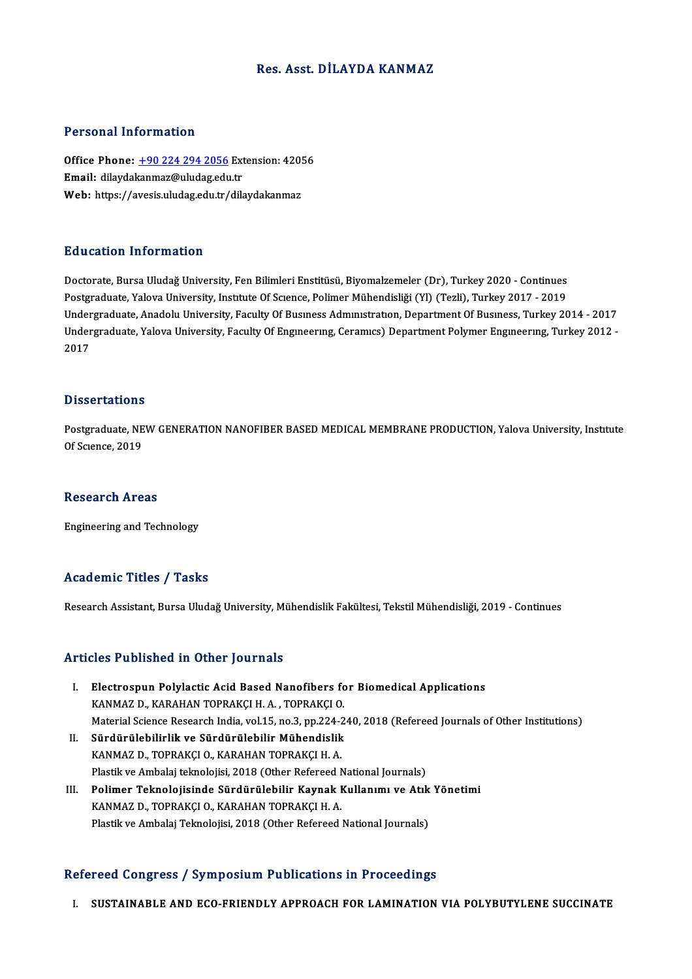## Res. Asst. DİLAYDA KANMAZ

### Personal Information

Personal Information<br>Office Phone: <u>+90 224 294 2056</u> Extension: 42056<br>Email: dilaydakanmaz@uludag.edu.tr 1 ST SOMAT THEST MACCON<br>Office Phone: <u>+90 224 294 2056</u> Ext<br>Email: dilayda[kanmaz@uludag.edu](tel:+90 224 294 2056).tr Office Phone: <u>+90 224 294 2056</u> Extension: 420!<br>Email: dilaydakanmaz@uludag.edu.tr<br>Web: https://avesis.uludag.edu.tr/dilaydakanmaz Web: https://avesis.uludag.edu.tr/dilaydakanmaz<br>Education Information

Doctorate, Bursa Uludağ University, Fen Bilimleri Enstitüsü, Biyomalzemeler (Dr), Turkey 2020 - Continues Postgraduate, Yalova University, Institute Of Science, Polimer Mühendisliği (Yl) (Tezli), Turkey 2017 - 2019 Doctorate, Bursa Uludağ University, Fen Bilimleri Enstitüsü, Biyomalzemeler (Dr), Turkey 2020 - Continues<br>Postgraduate, Yalova University, Institute Of Science, Polimer Mühendisliği (Yl) (Tezli), Turkey 2017 - 2019<br>Undergr Postgraduate, Yalova University, Institute Of Science, Polimer Mühendisliği (Yl) (Tezli), Turkey 2017 - 2019<br>Undergraduate, Anadolu University, Faculty Of Business Administration, Department Of Business, Turkey 2014 - 2017 Under<br>Under<br>2017 Dissertations

Dissertations<br>Postgraduate, NEW GENERATION NANOFIBER BASED MEDICAL MEMBRANE PRODUCTION, Yalova University, Institute<br>Of Sgrapes, 2019 Dissolutations<br>Postgraduate, NE<br>Of Science, 2019 Of Science, 2019<br>Research Areas

Engineering and Technology

# Academic Titles / Tasks

Research Assistant, Bursa Uludağ University, Mühendislik Fakültesi, Tekstil Mühendisliği, 2019 - Continues

## Articles Published in Other Journals

- rticles Published in Other Journals<br>I. Electrospun Polylactic Acid Based Nanofibers for Biomedical Applications<br>KANMAZ D. KARAHAN TOPRAKCLH A. TOPRAKCLO KOS 1 donomod in Ochor Journals<br>Electrospun Polylactic Acid Based Nanofibers fo<br>KANMAZ D., KARAHAN TOPRAKÇI H. A. , TOPRAKÇI O.<br>Material Science Besearch India vol 15 no 3 nn 334 3 KANMAZ D., KARAHAN TOPRAKÇI H. A. , TOPRAKÇI O.<br>Material Science Research India, vol.15, no.3, pp.224-240, 2018 (Refereed Journals of Other Institutions)
- II. Sürdürülebilirlik ve Sürdürülebilir Mühendislik KANMAZ D., TOPRAKÇI O., KARAHAN TOPRAKÇI H. A. Plastik ve Ambalaj teknolojisi, 2018 (Other Refereed National Journals)
- III. Polimer Teknolojisinde Sürdürülebilir Kaynak Kullanımı ve Atık Yönetimi KANMAZ D., TOPRAKÇI O., KARAHAN TOPRAKÇI H. A. Plastik ve Ambalaj Teknolojisi, 2018 (Other Refereed National Journals)

## Refereed Congress / Symposium Publications in Proceedings

I. SUSTAINABLE AND ECO-FRIENDLY APPROACH FOR LAMINATION VIA POLYBUTYLENE SUCCINATE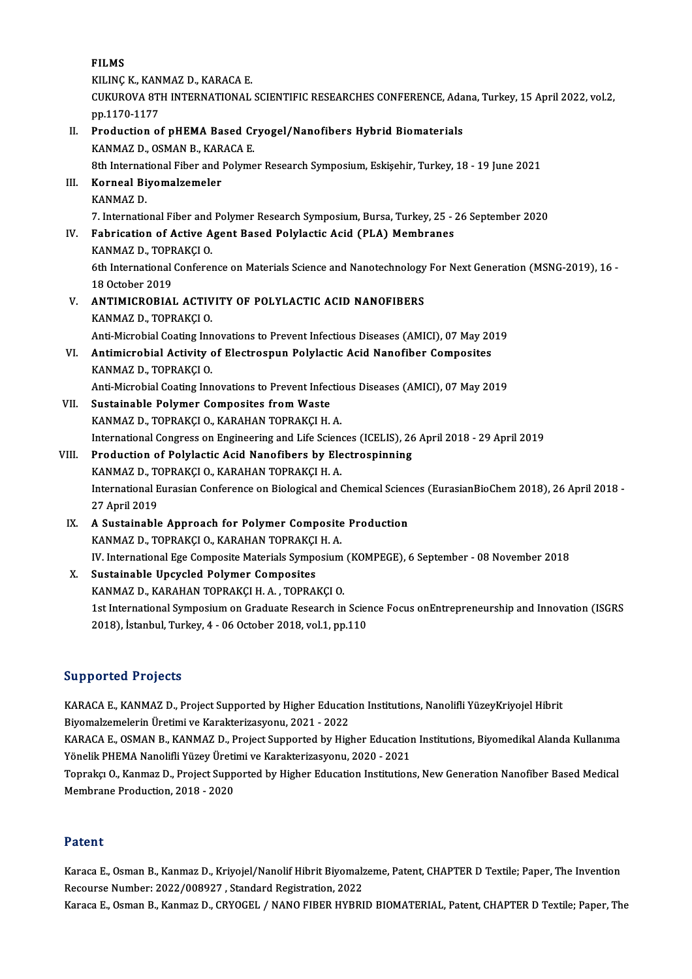FILMS KILINÇK, KANMAZD, KARACA E. FILMS<br>KILINÇ K., KANMAZ D., KARACA E.<br>CUKUROVA 8TH INTERNATIONAL SCIENTIFIC RESEARCHES CONFERENCE, Adana, Turkey, 15 April 2022, vol.2,<br>pp.1170-1177 KILINÇ K., KAN<br>CUKUROVA 8T<br>pp.1170-1177<br>Production 2: CUKUROVA 8TH INTERNATIONAL SCIENTIFIC RESEARCHES CONFERENCE, Ada<br>pp.1170-1177<br>II. Production of pHEMA Based Cryogel/Nanofibers Hybrid Biomaterials<br>KANMAZ D. OSMAN B. KABACA E pp.1170-1177<br>Production of pHEMA Based Cr<br>KANMAZ D., OSMAN B., KARACA E.<br><sup>9th International Eiber and Bolume</sup> Production of pHEMA Based Cryogel/Nanofibers Hybrid Biomaterials<br>KANMAZ D., OSMAN B., KARACA E.<br>8th International Fiber and Polymer Research Symposium, Eskişehir, Turkey, 18 - 19 June 2021<br>Korneal Biyomalzomaler KANMAZ D., OSMAN B., KARACA E.<br>8th International Fiber and Polyme<br>III. Korneal Biyomalzemeler<br>KANMAZ D. 8th Internat<br>Korneal Bi<br>KANMAZ D.<br>7. Internatio 7. International Fiber and Polymer Research Symposium, Bursa, Turkey, 25 - 26 September 2020 KANMAZ D.<br>7. International Fiber and Polymer Research Symposium, Bursa, Turkey, 25 - .<br>IV. Fabrication of Active Agent Based Polylactic Acid (PLA) Membranes<br>KANMAZ D. TOPRAKCLO 7. International Fiber and<br>Fabrication of Active A<br>KANMAZ D., TOPRAKÇI O.<br><sup>6th International Conferen</sup> Fabrication of Active Agent Based Polylactic Acid (PLA) Membranes<br>KANMAZ D., TOPRAKÇI O.<br>6th International Conference on Materials Science and Nanotechnology For Next Generation (MSNG-2019), 16 -<br>18 October 2019 KANMAZ D., TOPF<br>6th International<br>18 October 2019<br>ANTIMICROPIAL 6th International Conference on Materials Science and Nanotechnology<br>18 October 2019<br>V. ANTIMICROBIAL ACTIVITY OF POLYLACTIC ACID NANOFIBERS<br>VANMAZ D. TOBRAKCLO 18 October 2019<br>**ANTIMICROBIAL ACTIV<br>KANMAZ D., TOPRAKÇI O.**<br>Anti Migrabial Casting Inn KANMAZ D., TOPRAKÇI O.<br>Anti-Microbial Coating Innovations to Prevent Infectious Diseases (AMICI), 07 May 2019 VI. Antimicrobial Activity of Electrospun Polylactic Acid Nanofiber Composites KANMAZ D., TOPRAKÇI O. Antimicrobial Activity of Electrospun Polylactic Acid Nanofiber Composites<br>KANMAZ D., TOPRAKÇI O.<br>Anti-Microbial Coating Innovations to Prevent Infectious Diseases (AMICI), 07 May 2019<br>Sustainable Polyman Composites from W VII. Sustainable Polymer Composites from Waste<br>KANMAZ D., TOPRAKÇI O., KARAHAN TOPRAKÇI H. A. Anti-Microbial Coating Innovations to Prevent Infection<br>Sustainable Polymer Composites from Waste<br>KANMAZ D., TOPRAKÇI O., KARAHAN TOPRAKÇI H. A. Sustainable Polymer Composites from Waste<br>KANMAZ D., TOPRAKÇI O., KARAHAN TOPRAKÇI H. A.<br>International Congress on Engineering and Life Sciences (ICELIS), 26 April 2018 - 29 April 2019<br>Production of Polylastic Asid Nanofib VIII. Production of Polylactic Acid Nanofibers by Electrospinning International Congress on Engineering and Life Sciench<br>Production of Polylactic Acid Nanofibers by Ele<br>KANMAZ D., TOPRAKÇI O., KARAHAN TOPRAKÇI H. A.<br>International Eurosian Conference on Biological and G International Eurasian Conference on Biological and Chemical Sciences (EurasianBioChem 2018), 26 April 2018 - 27 April 2019 KANMAZ D., TOPRAKÇI O., KARAHAN TOPRAKÇI H. A. IX. A Sustainable Approach for Polymer Composite Production KANMAZ D., TOPRAKÇI O., KARAHAN TOPRAKÇI H. A. IV. International Ege Composite Materials Symposium (KOMPEGE), 6 September - 08 November 2018 X. Sustainable Upcycled Polymer Composites KANMAZ D., KARAHAN TOPRAKÇI H. A., TOPRAKÇI O. Sustainable Upcycled Polymer Composites<br>KANMAZ D., KARAHAN TOPRAKÇI H. A. , TOPRAKÇI O.<br>1st International Symposium on Graduate Research in Science Focus onEntrepreneurship and Innovation (ISGRS) KANMAZ D., KARAHAN TOPRAKÇI H. A. , TOPRAKÇI O.<br>1st International Symposium on Graduate Research in Sciel<br>2018), İstanbul, Turkey, 4 - 06 October 2018, vol.1, pp.110

# 2018), İstanbul, Turkey, 4 - 06 October 2018, vol.1, pp.110<br>Supported Projects

Supported Projects<br>KARACA E., KANMAZ D., Project Supported by Higher Education Institutions, Nanolifli YüzeyKriyojel Hibrit<br>Piyomalgamolerin Üretimi ve Karakterigesyonu, 2021, 2022 Bill political i 1 oyocco<br>Biyomalzemelerin Üretimi ve Karakterizasyonu, 2021 - 2022<br>KARACA E. OSMAN B. KANMAZ D. Broject Sunnerted by Hig KARACA E., KANMAZ D., Project Supported by Higher Education Institutions, Nanolifli YüzeyKriyojel Hibrit<br>Biyomalzemelerin Üretimi ve Karakterizasyonu, 2021 - 2022<br>KARACA E., OSMAN B., KANMAZ D., Project Supported by Higher

Biyomalzemelerin Üretimi ve Karakterizasyonu, 2021 - 2022<br>KARACA E., OSMAN B., KANMAZ D., Project Supported by Higher Education<br>Yönelik PHEMA Nanolifli Yüzey Üretimi ve Karakterizasyonu, 2020 - 2021<br>Tenraks: O. Kanmaz D. P KARACA E., OSMAN B., KANMAZ D., Project Supported by Higher Education Institutions, Biyomedikal Alanda Kullanıma<br>Yönelik PHEMA Nanolifli Yüzey Üretimi ve Karakterizasyonu, 2020 - 2021<br>Toprakçı O., Kanmaz D., Project Suppor

Yönelik PHEMA Nanolifli Yüzey Üretimi ve Karakterizasyonu, 2020 - 2021<br>Toprakçı O., Kanmaz D., Project Supported by Higher Education Institutions, New Generation Nanofiber Based Medical<br>Membrane Production, 2018 - 2020

### Patent

Karaca E., Osman B., Kanmaz D., Kriyojel/Nanolif Hibrit Biyomalzeme, Patent, CHAPTER D Textile; Paper, The Invention Recourse Number: 2022/008927, Standard Registration, 2022

Karaca E., Osman B., Kanmaz D., CRYOGEL / NANO FIBER HYBRID BIOMATERIAL, Patent, CHAPTER D Textile; Paper, The